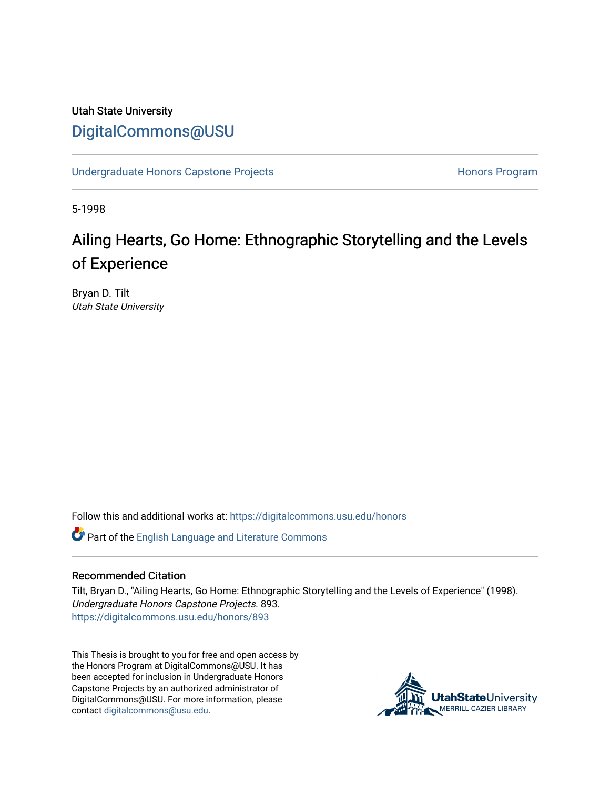# Utah State University [DigitalCommons@USU](https://digitalcommons.usu.edu/)

[Undergraduate Honors Capstone Projects](https://digitalcommons.usu.edu/honors) **Honors Program** Honors Program

5-1998

# Ailing Hearts, Go Home: Ethnographic Storytelling and the Levels of Experience

Bryan D. Tilt Utah State University

Follow this and additional works at: [https://digitalcommons.usu.edu/honors](https://digitalcommons.usu.edu/honors?utm_source=digitalcommons.usu.edu%2Fhonors%2F893&utm_medium=PDF&utm_campaign=PDFCoverPages)

Part of the [English Language and Literature Commons](http://network.bepress.com/hgg/discipline/455?utm_source=digitalcommons.usu.edu%2Fhonors%2F893&utm_medium=PDF&utm_campaign=PDFCoverPages)

#### Recommended Citation

Tilt, Bryan D., "Ailing Hearts, Go Home: Ethnographic Storytelling and the Levels of Experience" (1998). Undergraduate Honors Capstone Projects. 893. [https://digitalcommons.usu.edu/honors/893](https://digitalcommons.usu.edu/honors/893?utm_source=digitalcommons.usu.edu%2Fhonors%2F893&utm_medium=PDF&utm_campaign=PDFCoverPages)

This Thesis is brought to you for free and open access by the Honors Program at DigitalCommons@USU. It has been accepted for inclusion in Undergraduate Honors Capstone Projects by an authorized administrator of DigitalCommons@USU. For more information, please contact [digitalcommons@usu.edu](mailto:digitalcommons@usu.edu).

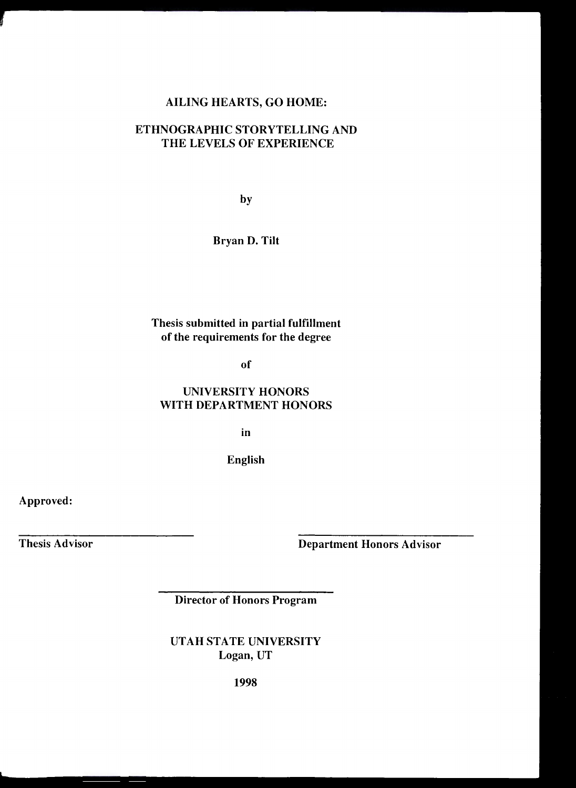# AILING HEARTS, GO HOME:

# ETHNOGRAPHIC STORYTELLING AND THE LEVELS OF EXPERIENCE

by

Bryan D. Tilt

# Thesis submitted in partial fulfillment of the requirements for the degree

of

### UNIVERSITY HONORS WITH DEPARTMENT HONORS

in

English

Approved:

Thesis Advisor

Department Honors Advisor

Director of Honors Program

UTAH STATE UNIVERSITY Logan, UT

1998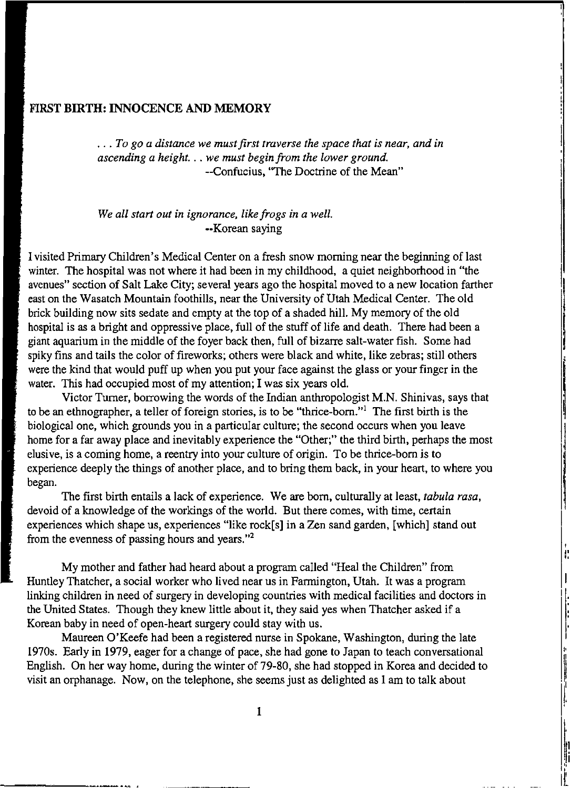#### **FIRST BIRTH: INNOCENCE AND MEMORY**

... *To go a distance we must first traverse the space that is near, and in ascending a height ... we must begin from the lower ground.*  --Confucius, ''The Doctrine of the Mean"

#### *We all start out in ignorance, like frogs in a well.*  ••Korean saying

I visited Primary Children's Medical Center on a fresh snow morning near the beginning of last winter. The hospital was not where it had been in my childhood, a quiet neighborhood in "the avenues" section of Salt Lake City; several years ago the hospital moved to a new location farther east on the Wasatch Mountain foothills, near the University of Utah Medical Center. The old brick building now sits sedate and empty at the top of a shaded hill. My memory of the old hospital is as a bright and oppressive place, full of the stuff of life and death. There had been a giant aquarium in the middle of the foyer back then, full of bizarre salt-water fish. Some had spiky fins and tails the color of fireworks; others were black and white, like zebras; still others were the kind that would puff up when you put your face against the glass or your finger in the water. This had occupied most of my attention; I was six years old.

Victor Turner, borrowing the words of the Indian anthropologist **M.N.** Shinivas, says that to be an ethnographer, a teller of foreign stories, is to be "thrice-born." The first birth is the biological one, which grounds you in a particular culture; the second occurs when you leave home for a far away place and inevitably experience the "Other;" the third birth, perhaps the most elusive, is a coming home, a reentry into your culture of origin. To be thrice-born is to experience deeply the things of another place, and to bring them back, in your heart, to where you began.

The first birth entails a lack of experience. We are bom, culturally at least, *tabula rasa,*  devoid of a knowledge of the workings of the world. But there comes, with time, certain experiences which shape us, experiences "like rock[s] in a Zen sand garden, [which} stand out from the evenness of passing hours and years. "<sup>2</sup>

I ,. "

,, ll I I[

My mother and father had heard about a program called "Heal the Children" from Huntley Thatcher, a social worker who Jived near us in Farmington, Utah. It was a program linking children in need of surgery in developing countries with medical facilities and doctors in the United States. Though they knew little about it, they said yes when Thatcher asked if a Korean baby in need of open-heart surgery could stay with us.

Maureen O'Keefe had been a registered nurse in Spokane, Washington, during the late 1970s. Early in 1979, eager for a change of pace, she had gone to Japan to teach conversational English. On her way home, during the winter of 79-80, she had stopped in Korea and decided to visit an orphanage. Now, on the telephone, she seems just as delighted as I am to talk about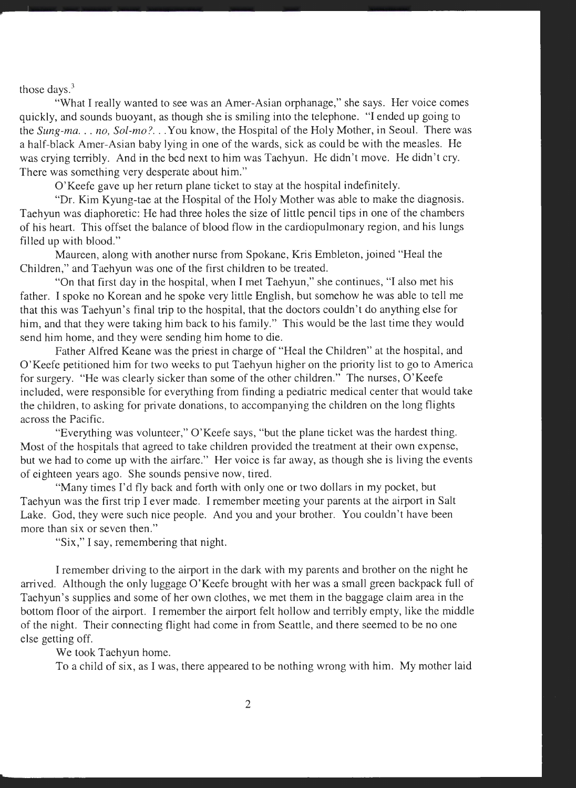those days.<sup>3</sup>

"What I really wanted to see was an Amer-Asian orphanage," she says. Her voice comes quickly, and sounds buoyant, as though she is smiling into the telephone. "I ended up going to the *Sung-ma ... no, Sol-mo? ..* . You know, the Hospital of the Holy Mother, in Seoul. There was a half-black Amer-Asian baby lying in one of the wards, sick as could be with the measles. He was crying terribly. And in the bed next to him was Taehyun. He didn't move. He didn't cry. There was something very desperate about him."

O'Keefe gave up her return plane ticket to stay at the hospital indefinitely.

"Dr. Kim Kyung-tae at the Hospital of the Holy Mother was able to make the diagnosis. Taehyun was diaphoretic: He had three holes the size of little pencil tips in one of the chambers of his heart. This offset the balance of blood flow in the cardiopulmonary region, and his lungs filled up with blood."

Maureen, along with another nurse from Spokane, Kris Embleton, joined "Heal the Children," and Taehyun was one of the first children to be treated.

"On that first day in the hospital, when I met Taehyun," she continues, "I also met his father. I spoke no Korean and he spoke very little English, but somehow he was able to tell me that this was Taehyun's final trip to the hospital, that the doctors couldn't do anything else for him, and that they were taking him back to his family." This would be the last time they would send him home, and they were sending him home to die.

Father Alfred Keane was the priest in charge of "Heal the Children" at the hospital, and O'Keefe petitioned him for two weeks to put Taehyun higher on the priority list to go to America for surgery. "He was clearly sicker than some of the other children." The nurses, O'Keefe included, were responsible for everything from finding a pediatric medical center that would take the children, to asking for private donations, to accompanying the children on the long flights across the Pacific.

"Everything was volunteer," O'Keefe says, "but the plane ticket was the hardest thing. Most of the hospitals that agreed to take children provided the treatment at their own expense, but we had to come up with the airfare." Her voice is far away, as though she is living the events of eighteen years ago. She sounds pensive now, tired.

"Many times I'd fly back and forth with only one or two dollars in my pocket, but Taehyun was the first trip I ever made. I remember meeting your parents at the airport in Salt Lake. God, they were such nice people. And you and your brother. You couldn't have been more than six or seven then."

"Six," I say, remembering that night.

I remember driving to the airport in the dark with my parents and brother on the night he arrived. Although the only luggage O'Keefe brought with her was a small green backpack full of Taehyun's supplies and some of her own clothes, we met them in the baggage claim area in the bottom floor of the airport. I remember the airport felt hollow and terribly empty, like the middle of the night. Their connecting flight had come in from Seattle, and there seemed to be no one else getting off.

We took Taehyun home.

To a child of six, as I was, there appeared to be nothing wrong with him. My mother laid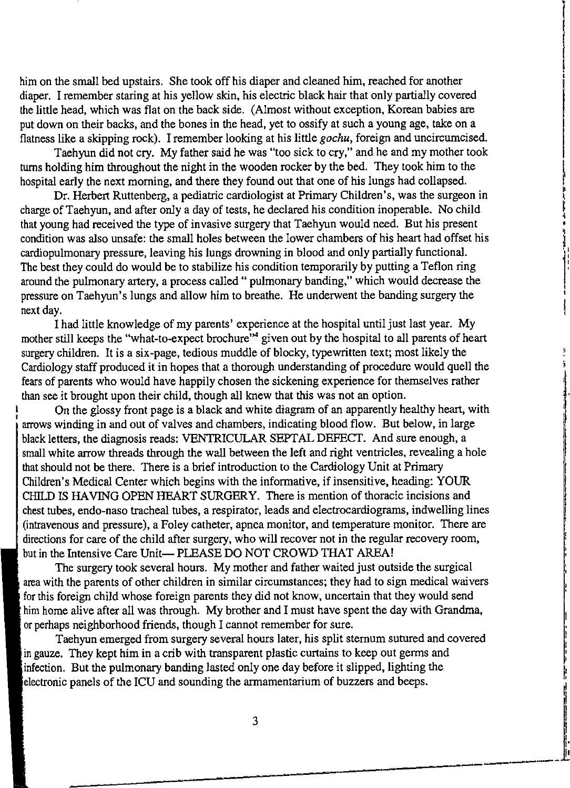him on the small bed upstairs. She took off his diaper and cleaned him, reached for another diaper. I remember staring at his yellow skin, his electric black hair that only partially covered the little head, which was flat on the back side. (Almost without exception, Korean babies are put down on their backs, and the bones in the head, yet to ossify at such a young age, take on a flatness like a skipping rock). I remember looking at his little *gochu,* foreign and uncircumcised.

Taehyun did not cry. My father said he was "too sick to cry," and he and my mother took turns holding him throughout the night in the wooden rocker by the bed. They took him to the hospital early the next morning, and there they found out that one of his lungs had collapsed.

Dr. Herbert Ruttenberg, a pediatric cardiologist at Primary Children's, was the surgeon in charge of Taehyun, and after only a day of tests, he declared his condition inoperable. No child that young had received the type of invasive surgery that Taehyun would need. But his present condition was also unsafe: the small holes between the lower chambers of his heart had offset his cardiopulmonary pressure, leaving his lungs drowning in blood and only partially functional. The best they could do would be to stabilize his condition temporarily by putting a Teflon ring around the pulmonary artery, a process called " pulmonary banding," which would decrease the pressure on Taehyun's lungs and allow him to breathe. He underwent the banding surgery the next day.

I had little knowledge of my parents' experience at the hospital until just last year. My mother still keeps the "what-to-expect brochure"<sup>4</sup> given out by the hospital to all parents of heart surgery children. It is a six-page, tedious muddle of blocky, typewritten text; most likely the Cardiology staff produced it in hopes that a thorough understanding of procedure would quell the fears of parents who would have happily chosen the sickening experience for themselves rather than see it brought upon their child, though all knew that this was not an option.

On the glossy front page is a black and white diagram of an apparently healthy heart, with arrows winding in and out of valves and chambers, indicating blood flow. But below, in large black letters, the diagnosis reads: VENTRICULAR SEPTAL DEFECT. And sure enough, a small white arrow threads through the wall between the left and right ventricles, revealing a hole that should not be there. There is a brief introduction to the Cardiology Unit at Primary Children's Medical Center which begins with the informative, if insensitive, heading: YOUR CHILD IS HAVING OPEN HEART SURGERY. There is mention of thoracic incisions and chest tubes, endo-naso tracheal tubes, a respirator, leads and electrocardiograms, indwelling lines (intravenous and pressure), a Foley catheter, apnea monitor, and temperature monitor. There are directions for care of the child after surgery, who will recover not in the regular recovery room, but in the Intensive Care Unit- PLEASE DO NOT CROWD THAT AREA!

The surgery took several hours. My mother and father waited just outside the surgical area with the parents of other children in similar circumstances; they had to sign medical waivers for this foreign child whose foreign parents they did not know, uncertain that they would send him home alive after all was through. My brother and I must have spent the day with Grandma, or perhaps neighborhood friends, though I cannot remember for sure.

Taehyun emerged from surgery several hours later, his split sternum sutured and covered in gauze. They kept him in a crib with transparent plastic curtains to keep out germs and infection. But the pulmonary banding lasted only one day before it slipped, lighting the electronic panels of the ICU and sounding the armamentarium of buzzers and beeps.

Ir

~ I I I t I' I•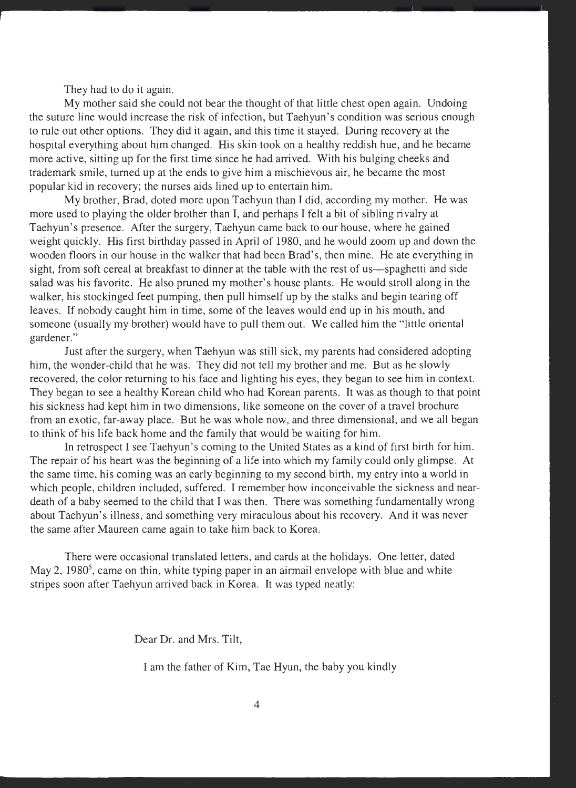They had to do it again.

My mother said she could not bear the thought of that little chest open again. Undoing the suture line would increase the risk of infection, but Taehyun's condition was serious enough to rule out other options. They did it again, and this time it stayed. During recovery at the hospital everything about him changed. His skin took on a healthy reddish hue, and he became more active, sitting up for the first time since he had arrived. With his bulging cheeks and trademark smile, turned up at the ends to give him a mischievous air, he became the most popular kid in recovery; the nurses aids lined up to entertain him.

My brother, Brad, doted more upon Taehyun than I did, according my mother. He was more used to playing the older brother than I, and perhaps I felt a bit of sibling rivalry at Taehyun's presence. After the surgery, Taehyun came back to our house, where he gained weight quickly. His first birthday passed in April of 1980, and he would zoom up and down the wooden floors in our house in the walker that had been Brad's, then mine. He ate everything in sight, from soft cereal at breakfast to dinner at the table with the rest of us—spaghetti and side salad was his favorite. He also pruned my mother's house plants. He would stroll along in the walker, his stockinged feet pumping, then pull himself up by the stalks and begin tearing off leaves. If nobody caught him in time, some of the leaves would end up in his mouth, and someone (usually my brother) would have to pull them out. We called him the "little oriental gardener."

Just after the surgery, when Taehyun was still sick, my parents had considered adopting him, the wonder-child that he was. They did not tell my brother and me. But as he slowly recovered, the color returning to his face and lighting his eyes, they began to see him in context. They began to see a healthy Korean child who had Korean parents. It was as though to that point his sickness had kept him in two dimensions, like someone on the cover of a travel brochure from an exotic, far-away place. But he was whole now, and three dimensional, and we all began to think of his life back home and the family that would be waiting for him.

In retrospect I see Taehyun's coming to the United States as a kind of first birth for him. The repair of his heart was the beginning of a life into which my family could only glimpse. At the same time, his coming was an early beginning to my second birth, my entry into a world in which people, children included, suffered. I remember how inconceivable the sickness and neardeath of a baby seemed to the child that I was then. There was something fundamentally wrong about Taehyun's illness, and something very miraculous about his recovery. And it was never the same after Maureen came again to take him back to Korea.

There were occasional translated letters, and cards at the holidays. One letter, dated May 2, 1980<sup>5</sup>, came on thin, white typing paper in an airmail envelope with blue and white stripes soon after Taehyun arrived back in Korea. It was typed neatly:

Dear Dr. and Mrs. Tilt,

I am the father of Kim, Tae Hyun, the baby you kindly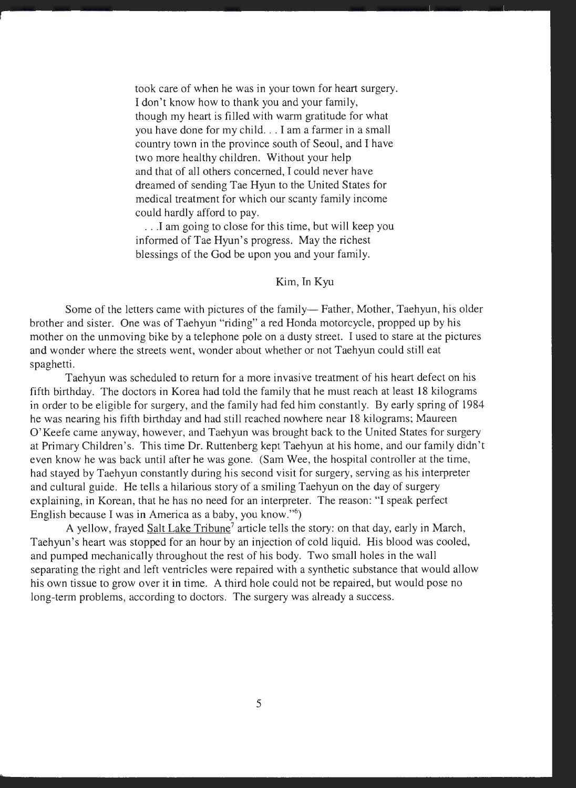took care of when he was in your town for heart surgery. I don't know how to thank you and your family, though my heart is filled with warm gratitude for what you have done for my child ... I am a farmer in a small country town in the province south of Seoul, and I have two more healthy children. Without your help and that of all others concerned, I could never have dreamed of sending Tae Hyun to the United States for medical treatment for which our scanty family income could hardly afford to pay.

. . .I am going to close for this time, but will keep you informed of Tae Hyun's progress. May the richest blessings of the God be upon you and your family.

#### Kim, In Kyu

Some of the letters came with pictures of the family— Father, Mother, Taehyun, his older brother and sister. One was of Taehyun "riding" a red Honda motorcycle, propped up by his mother on the unmoving bike by a telephone pole on a dusty street. I used to stare at the pictures and wonder where the streets went, wonder about whether or not Taehyun could still eat spaghetti.

Taehyun was scheduled to return for a more invasive treatment of his heart defect on his fifth birthday. The doctors in Korea had told the family that he must reach at least 18 kilograms in order to be eligible for surgery, and the family had fed him constantly. By early spring of 1984 he was nearing his fifth birthday and had still reached nowhere near 18 kilograms; Maureen O'Keefe came anyway, however, and Taehyun was brought back to the United States for surgery at Primary Children's. This time Dr. Ruttenberg kept Taehyun at his home, and our family didn't even know he was back until after he was gone. (Sam Wee, the hospital controller at the time, had stayed by Taehyun constantly during his second visit for surgery, serving as his interpreter and cultural guide. He tells a hilarious story of a smiling Taehyun on the day of surgery explaining, in Korean, that he has no need for an interpreter. The reason: "I speak perfect English because I was in America as a baby, you know."<sup>6</sup>)

A yellow, frayed Salt Lake Tribune<sup>7</sup> article tells the story: on that day, early in March, Taehyun's heart was stopped for an hour by an injection of cold liquid. His blood was cooled, and pumped mechanically throughout the rest of his body. Two small holes in the wall separating the right and left ventricles were repaired with a synthetic substance that would allow his own tissue to grow over it in time. A third hole could not be repaired, but would pose no long-term problems, according to doctors. The surgery was already a success.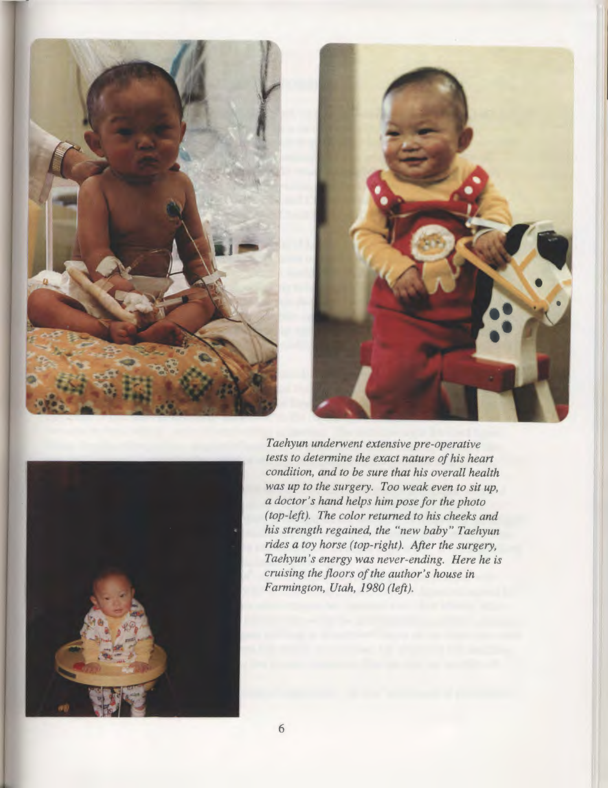





*Taehyun underwent extensive pre-operative tests to determine the exact nature of his heart condition, and to be sure that his overall health was up to the surgery. Too weak even to sit up, a doctor's hand helps him pose for the photo (top-left). The color returned to his cheeks and his strength regained, the "new baby" Taehyun rides a toy horse (top-right). After the surgery, Taehyun 's energy was never-ending. Here he is cruising the floors of the author's house in Farmington, Utah, 1980 (left).*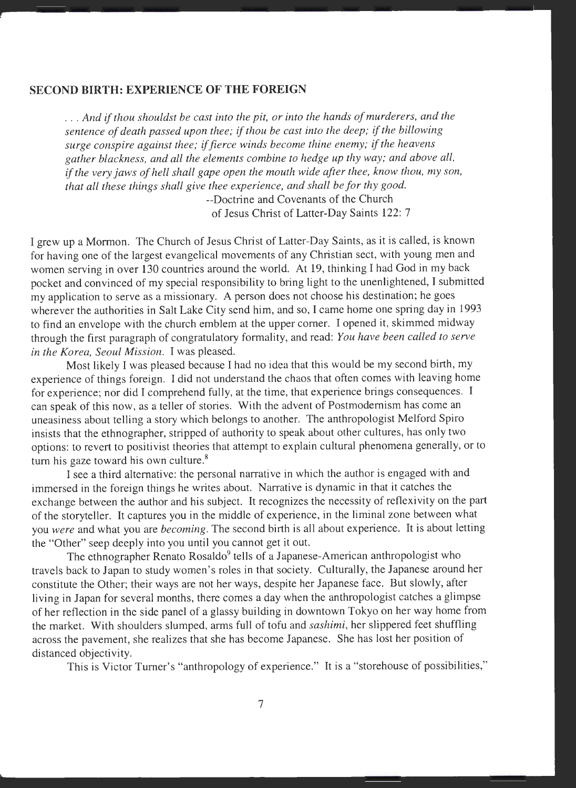#### **SECOND BIRTH: EXPERIENCE OF THE FOREIGN**

... *And if thou shouldst be cast into the pit, or into the hands of murderers, and the sentence of death passed upon thee; if thou be cast into the deep; if the billowing surge conspire against thee; if fierce winds become thine enemy; if the heavens gather blackness, and all the elements combine to hedge up thy way; and above all, if the very jaws of hell shall gape open the mouth wide after thee, know thou, my son, that all these things shall give thee experience, and shall be for thy good.* 

> --Doctrine and Covenants of the Church of Jesus Christ of Latter-Day Saints 122: 7

I grew up a Mormon. The Church of Jesus Christ of Latter-Day Saints, as it is called, is known for having one of the largest evangelical movements of any Christian sect, with young men and women serving in over 130 countries around the world. At 19, thinking I had God in my back pocket and convinced of my special responsibility to bring light to the unenlightened, I submitted my application to serve as a missionary. A person does not choose his destination; he goes wherever the authorities in Salt Lake City send him, and so, I came home one spring day in 1993 to find an envelope with the church emblem at the upper corner. I opened it, skimmed midway through the first paragraph of congratulatory formality, and read: *You have been called to serve in the Korea, Seoul Mission.* I was pleased.

Most likely I was pleased because I had no idea that this would be my second birth, my experience of things foreign. I did not understand the chaos that often comes with leaving home for experience; nor did I comprehend fully, at the time, that experience brings consequences. I can speak of this now, as a teller of stories. With the advent of Postmodemism has come an uneasiness about telling a story which belongs to another. The anthropologist Melford Spiro insists that the ethnographer, stripped of authority to speak about other cultures, has only two options: to revert to positivist theories that attempt to explain cultural phenomena generally, or to turn his gaze toward his own culture.<sup>8</sup>

I see a third alternative: the personal narrative in which the author is engaged with and immersed in the foreign things he writes about. Narrative is dynamic in that it catches the exchange between the author and his subject. It recognizes the necessity of reflexivity on the part of the storyteller. It captures you in the middle of experience, in the liminal zone between what you *were* and what you are *becoming.* The second birth is all about experience. It is about letting the "Other" seep deeply into you until you cannot get it out.

The ethnographer Renato Rosaldo<sup>9</sup> tells of a Japanese-American anthropologist who travels back to Japan to study women's roles in that society. Culturally, the Japanese around her constitute the Other; their ways are not her ways, despite her Japanese face. But slowly, after living in Japan for several months, there comes a day when the anthropologist catches a glimpse of her reflection in the side panel of a glassy building in downtown Tokyo on her way home from the market. With shoulders slumped, arms full of tofu and *sashimi,* her slippered feet shuffling across the pavement, she realizes that she has become Japanese. She has lost her position of distanced objectivity.

This is Victor Turner's "anthropology of experience." It is a "storehouse of possibilities,"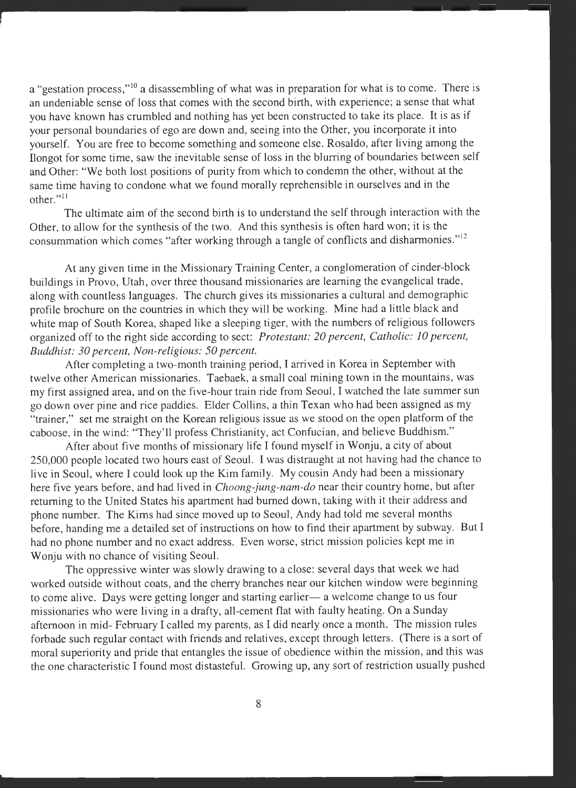a "gestation process,"<sup>10</sup> a disassembling of what was in preparation for what is to come. There is an undeniable sense of loss that comes with the second birth, with experience; a sense that what you have known has crumbled and nothing has yet been constructed to take its place. It is as if your personal boundaries of ego are down and, seeing into the Other, you incorporate it into yourself. You are free to become something and someone else. Rosaldo, after living among the Ilongot for some time, saw the inevitable sense of loss in the blurring of boundaries between self and Other: "We both lost positions of purity from which to condemn the other, without at the same time having to condone what we found morally reprehensible in ourselves and in the other."<sup>11</sup>

The ultimate aim of the second birth is to understand the self through interaction with the Other, to allow for the synthesis of the two. And this synthesis is often hard won; it is the consummation which comes "after working through a tangle of conflicts and disharmonies."<sup>12</sup>

At any given time in the Missionary Training Center, a conglomeration of cinder-block buildings in Provo, Utah, over three thousand missionaries are learning the evangelical trade, along with countless languages. The church gives its missionaries a cultural and demographic profile brochure on the countries in which they will be working. Mine had a little black and white map of South Korea, shaped like a sleeping tiger, with the numbers of religious followers organized off to the right side according to sect: *Protestant: 20 percent, Catholic: 10 percent, Buddhist: 30 percent, Non-religious: 50 percent.* 

After completing a two-month training period, I arrived in Korea in September with twelve other American missionaries. Taebaek, a small coal mining town in the mountains, was my first assigned area, and on the five-hour train ride from Seoul, I watched the late summer sun go down over pine and rice paddies. Elder Collins, a thin Texan who had been assigned as my "trainer," set me straight on the Korean religious issue as we stood on the open platform of the caboose, in the wind: "They'll profess Christianity, act Confucian, and believe Buddhism."

After about five months of missionary life I found myself in Wonju, a city of about 250,000 people located two hours east of Seoul. I was distraught at not having had the chance to live in Seoul, where I could look up the Kim family. My cousin Andy had been a missionary here five years before, and had lived in *Choong-jung-nam-do* near their country home, but after returning to the United States his apartment had burned down, taking with it their address and <sup>p</sup>hone number. The Kims had since moved up to Seoul, Andy had told me several months before, handing me a detailed set of instructions on how to find their apartment by subway. But I had no phone number and no exact address. Even worse, strict mission policies kept me in Wonju with no chance of visiting Seoul.

The oppressive winter was slowly drawing to a close: several days that week we had worked outside without coats, and the cherry branches near our kitchen window were beginning to come alive. Days were getting longer and starting earlier- a welcome change to us four missionaries who were living in a drafty, all-cement flat with faulty heating. On a Sunday afternoon in mid- February I called my parents, as I did nearly once a month. The mission rules forbade such regular contact with friends and relatives, except through letters. (There is a sort of moral superiority and pride that entangles the issue of obedience within the mission, and this was the one characteristic I found most distasteful. Growing up, any sort of restriction usually pushed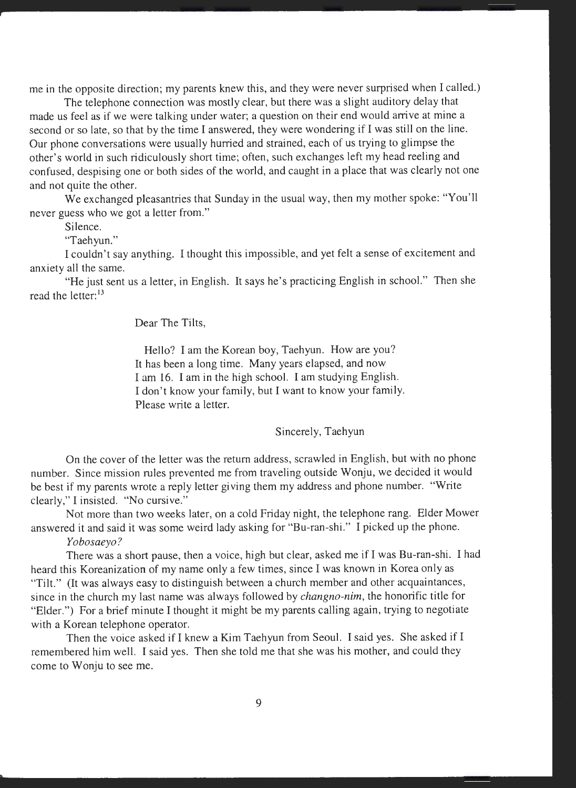me in the opposite direction; my parents knew this, and they were never surprised when I called.)

The telephone connection was mostly clear, but there was a slight auditory delay that made us feel as if we were talking under water; a question on their end would arrive at mine a second or so late, so that by the time I answered, they were wondering if I was still on the line. Our phone conversations were usually hurried and strained, each of us trying to glimpse the other's world in such ridiculously short time; often, such exchanges left my head reeling and confused, despising one or both sides of the world, and caught in a place that was clearly not one and not quite the other.

We exchanged pleasantries that Sunday in the usual way, then my mother spoke: "You'll never guess who we got a letter from."

Silence.

"Taehyun."

I couldn't say anything. I thought this impossible, and yet felt a sense of excitement and anxiety all the same.

"He just sent us a letter, in English. It says he's practicing English in school." Then she read the letter:<sup>13</sup>

Dear The Tilts,

Hello? I am the Korean boy, Taehyun. How are you? It has been a long time. Many years elapsed, and now I am 16. I am in the high school. I am studying English. I don't know your family, but I want to know your family. Please write a letter.

Sincerely, Taehyun

On the cover of the letter was the return address, scrawled in English, but with no phone number. Since mission rules prevented me from traveling outside Wonju, we decided it would be best if my parents wrote a reply letter giving them my address and phone number. "Write clearly," I insisted. "No cursive."

Not more than two weeks later, on a cold Friday night, the telephone rang. Elder Mower answered it and said it was some weird lady asking for "Bu-ran-shi." I picked up the phone.

*Yobosaeyo?* 

There was a short pause, then a voice, high but clear, asked me if I was Bu-ran-shi. I had heard this Koreanization of my name only a few times, since I was known in Korea only as "Tilt." (It was always easy to distinguish between a church member and other acquaintances, since in the church my last name was always followed by *changno-nim,* the honorific title for "Elder.") For a brief minute I thought it might be my parents calling again, trying to negotiate with a Korean telephone operator.

Then the voice asked if I knew a Kim Taehyun from Seoul. I said yes. She asked if I remembered him well. I said yes. Then she told me that she was his mother, and could they come to Wonju to see me.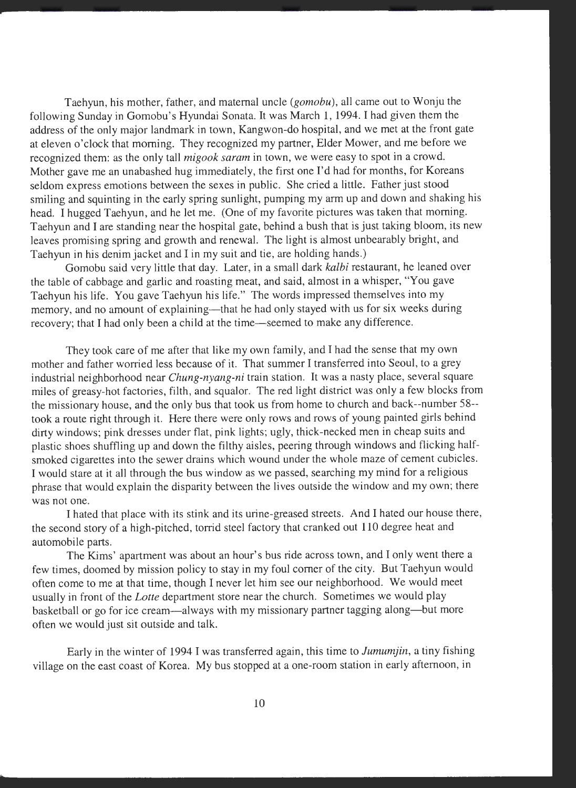Taehyun, his mother, father, and maternal uncle *(gomobu),* all came out to Wonju the following Sunday in Gomobu's Hyundai Sonata. It was March 1, 1994. I had given them the address of the only major landmark in town, Kangwon-do hospital, and we met at the front gate at eleven o'clock that morning. They recognized my partner, Elder Mower, and me before we recognized them: as the only tall *migook saram* in town, we were easy to spot in a crowd. Mother gave me an unabashed hug immediately, the first one I'd had for months, for Koreans seldom express emotions between the sexes in public. She cried a little. Father just stood smiling and squinting in the early spring sunlight, pumping my arm up and down and shaking his head. I hugged Taehyun, and he let me. (One of my favorite pictures was taken that morning. Taehyun and I are standing near the hospital gate, behind a bush that is just taking bloom, its new leaves promising spring and growth and renewal. The light is almost unbearably bright, and Taehyun in his denim jacket and I in my suit and tie, are holding hands.)

Gomobu said very little that day. Later, in a small dark *kalbi* restaurant, he leaned over the table of cabbage and garlic and roasting meat, and said, almost in a whisper, "You gave Taehyun his life. You gave Taehyun his life." The words impressed themselves into my memory, and no amount of explaining—that he had only stayed with us for six weeks during recovery; that I had only been a child at the time—seemed to make any difference.

They took care of me after that like my own family, and I had the sense that my own mother and father worried less because of it. That summer I transferred into Seoul, to a grey industrial neighborhood near *Chung-nyang-ni* train station. It was a nasty place, several square miles of greasy-hot factories, filth, and squalor. The red light district was only a few blocks from the missionary house, and the only bus that took us from home to church and back--number 58- took a route right through it. Here there were only rows and rows of young painted girls behind dirty windows; pink dresses under flat, pink lights; ugly, thick-necked men in cheap suits and plastic shoes shuffling up and down the filthy aisles, peering through windows and flicking halfsmoked cigarettes into the sewer drains which wound under the whole maze of cement cubicles. I would stare at it all through the bus window as we passed, searching my mind for a religious <sup>p</sup>hrase that would explain the disparity between the lives outside the window and my own; there was not one.

I hated that place with its stink and its urine-greased streets. And I hated our house there, the second story of a high-pitched, torrid steel factory that cranked out 110 degree heat and automobile parts.

The Kims' apartment was about an hour's bus ride across town, and I only went there a few times, doomed by mission policy to stay in my foul corner of the city. But Taehyun would often come to me at that time, though I never let him see our neighborhood. We would meet usually in front of the *Lotte* department store near the church. Sometimes we would play basketball or go for ice cream—always with my missionary partner tagging along—but more often we would just sit outside and talk.

Early in the winter of 1994 I was transferred again, this time to *Jumumjin,* a tiny fishing village on the east coast of Korea. My bus stopped at a one-room station in early afternoon, in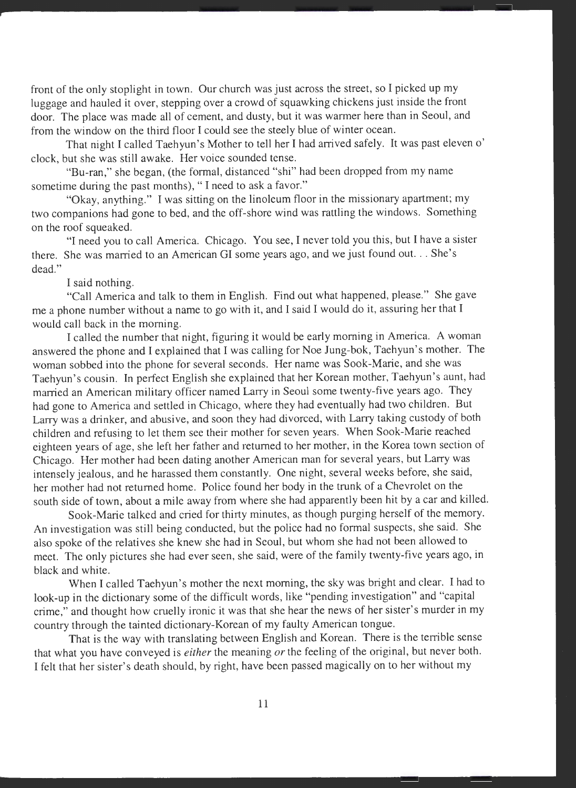front of the only stoplight in town. Our church was just across the street, so I picked up my luggage and hauled it over, stepping over a crowd of squawking chickens just inside the front door. The place was made all of cement, and dusty, but it was warmer here than in Seoul, and from the window on the third floor I could see the steely blue of winter ocean.

That night I called Taehyun's Mother to tell her I had arrived safely. It was past eleven o' clock, but she was still awake. Her voice sounded tense.

"Bu-ran," she began, (the formal, distanced "shi" had been dropped from my name sometime during the past months), "I need to ask a favor."

"Okay, anything." I was sitting on the linoleum floor in the missionary apartment; my two companions had gone to bed, and the off-shore wind was rattling the windows. Something on the roof squeaked.

"I need you to call America. Chicago. You see, I never told you this, but I have a sister there. She was married to an American GI some years ago, and we just found out. .. She's dead."

#### I said nothing.

"Call America and talk to them in English. Find out what happened, please." She gave me a phone number without a name to go with it, and I said I would do it, assuring her that I would call back in the morning.

I called the number that night, figuring it would be early morning in America. A woman answered the phone and I explained that I was calling for Noe Jung-bok, Taehyun's mother. The woman sobbed into the phone for several seconds. Her name was Sook-Marie, and she was Taehyun's cousin. In perfect English she explained that her Korean mother, Taehyun's aunt, had married an American military officer named Larry in Seoul some twenty-five years ago. They had gone to America and settled in Chicago, where they had eventually had two children. But Larry was a drinker, and abusive, and soon they had divorced, with Larry taking custody of both children and refusing to let them see their mother for seven years. When Sook-Marie reached eighteen years of age, she left her father and returned to her mother, in the Korea town section of Chicago. Her mother had been dating another American man for several years, but Larry was intensely jealous, and he harassed them constantly. One night, several weeks before, she said, her mother had not returned home. Police found her body in the trunk of a Chevrolet on the south side of town, about a mile away from where she had apparently been hit by a car and killed.

Sook-Marie talked and cried for thirty minutes, as though purging herself of the memory. An investigation was still being conducted, but the police had no formal suspects, she said. She also spoke of the relatives she knew she had in Seoul, but whom she had not been allowed to meet. The only pictures she had ever seen, she said, were of the family twenty-five years ago, in black and white.

When I called Taehyun's mother the next morning, the sky was bright and clear. I had to look-up in the dictionary some of the difficult words, like "pending investigation" and "capital crime," and thought how cruelly ironic it was that she hear the news of her sister's murder in my country through the tainted dictionary-Korean of my faulty American tongue.

That is the way with translating between English and Korean. There is the terrible sense that what you have conveyed is *either* the meaning *or* the feeling of the original, but never both. I felt that her sister's death should, by right, have been passed magically on to her without my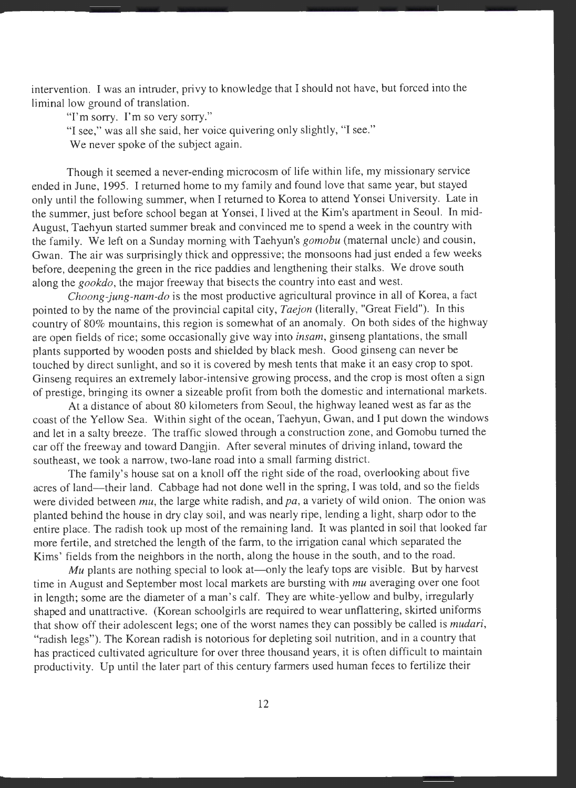intervention. I was an intruder, privy to knowledge that I should not have, but forced into the liminal low ground of translation.

"I'm sorry. I'm so very sorry."

"I see," was all she said, her voice quivering only slightly, "I see."

We never spoke of the subject again.

Though it seemed a never-ending microcosm of life within life, my missionary service ended in June, 1995. I returned home to my family and found love that same year, but stayed only until the following summer, when I returned to Korea to attend Yonsei University. Late in the summer, just before school began at Yonsei, I lived at the Kim's apartment in Seoul. In mid-August, Taehyun started summer break and convinced me to spend a week in the country with the family. We left on a Sunday morning with Taehyun's *gomobu* (maternal uncle) and cousin, Gwan. The air was surprisingly thick and oppressive; the monsoons had just ended a few weeks before, deepening the green in the rice paddies and lengthening their stalks. We drove south along the *gookdo,* the major freeway that bisects the country into east and west.

*Choong-jung-nam-do* is the most productive agricultural province in all of Korea, a fact pointed to by the name of the provincial capital city, *Taejon* (literally, "Great Field"). In this country of 80% mountains, this region is somewhat of an anomaly. On both sides of the highway are open fields of rice; some occasionally give way into *insam,* ginseng plantations, the small <sup>p</sup>lants supported by wooden posts and shielded by black mesh. Good ginseng can never be touched by direct sunlight, and so it is covered by mesh tents that make it an easy crop to spot. Ginseng requires an extremely labor-intensive growing process, and the crop is most often a sign of prestige, bringing its owner a sizeable profit from both the domestic and international markets.

At a distance of about 80 kilometers from Seoul, the highway leaned west as far as the coast of the Yellow Sea. Within sight of the ocean, Taehyun, Gwan, and I put down the windows and let in a salty breeze. The traffic slowed through a construction zone, and Gomobu turned the car off the freeway and toward Dangjin. After several minutes of driving inland, toward the southeast, we took a narrow, two-lane road into a small farming district.

The family's house sat on a knoll off the right side of the road, overlooking about five acres of land-their land. Cabbage had not done well in the spring, I was told, and so the fields were divided between *mu,* the large white radish, and *pa,* a variety of wild onion. The onion was <sup>p</sup>lanted behind the house in dry clay soil, and was nearly ripe, lending a light, sharp odor to the entire place. The radish took up most of the remaining land. It was planted in soil that looked far more fertile, and stretched the length of the farm, to the irrigation canal which separated the Kims' fields from the neighbors in the north, along the house in the south, and to the road.

*Mu* plants are nothing special to look at—only the leafy tops are visible. But by harvest time in August and September most local markets are bursting with *mu* averaging over one foot in length; some are the diameter of a man's calf. They are white-yellow and bulby, irregularly shaped and unattractive. (Korean schoolgirls are required to wear unflattering, skirted uniforms that show off their adolescent legs; one of the worst names they can possibly be called is *mudari,*  "radish legs"). The Korean radish is notorious for depleting soil nutrition, and in a country that has practiced cultivated agriculture for over three thousand years, it is often difficult to maintain productivity. Up until the later part of this century farmers used human feces to fertilize their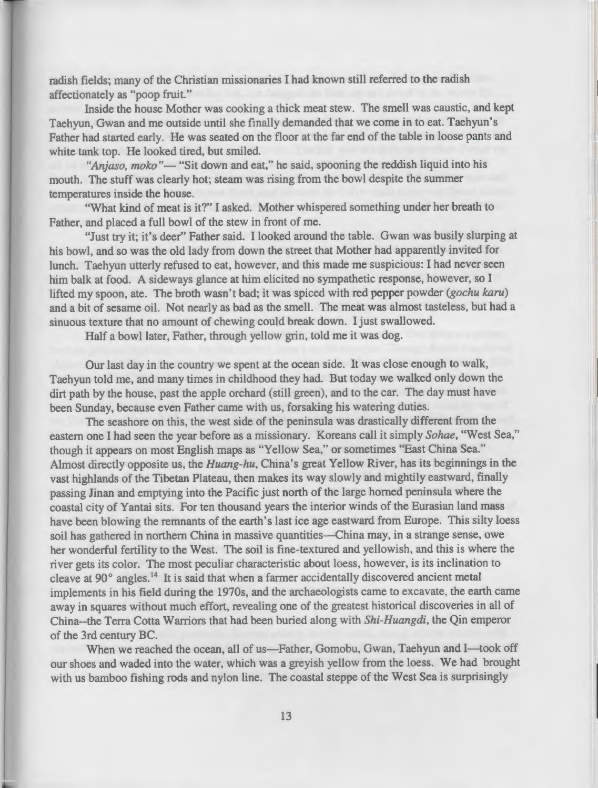radish fields; many of the Christian missionaries I had known still referred to the radish affectionately as "poop fruit."

Inside the house Mother was cooking a thick meat stew. The smell was caustic, and kept Taehyun, Gwan and me outside until she finally demanded that we come in to eat. Taehyun's Father had started early. He was seated on the floor at the far end of the table in loose pants and white tank top. He looked tired, but smiled.

"Anjaso, moko"— "Sit down and eat," he said, spooning the reddish liquid into his mouth. The stuff was clearly hot; steam was rising from the bowl despite the summer temperatures inside the house.

"What kind of meat is it?" I asked. Mother whispered something under her breath to Father, and placed a full bowl of the stew in front of me.

"Just try it; it's deer" Father said. I looked around the table. Gwan was busily slurping at his bowl, and so was the old lady from down the street that Mother had apparently invited for lunch. Taehyun utterly refused to eat, however, and this made me suspicious: I had never seen him balk at food. A sideways glance at him elicited no sympathetic response, however, so I lifted my spoon, ate. The broth wasn't bad; it was spiced with red pepper powder *(gochu karu)*  and a bit of sesame oil. Not nearly as bad as the smell. The meat was almost tasteless, but had a sinuous texture that no amount of chewing could break down. I just swallowed.

Half a bowl later, Father, through yellow grin, told me it was dog.

Our last day in the country we spent at the ocean side. It was close enough to walk, Taehyun told me, and many times in childhood they had. But today we walked only down the dirt path by the house, past the apple orchard (still green), and to the car. The day must have been Sunday, because even Father came with us, forsaking his watering duties.

The seashore on this, the west side of the peninsula was drastically different from the eastern one I had seen the year before as a missionary. Koreans call it simply *Sohae,* "West Sea," though it appears on most English maps as "Yellow Sea," or sometimes "East China Sea." Almost directly opposite us, the *Huang-hu,* China's great Yellow River, has its beginnings in the vast highlands of the Tibetan Plateau, then makes its way slowly and mightily eastward, finally passing Jinan and emptying into the Pacific just north of the large homed peninsula where the coastal city of Yantai sits. For ten thousand years the interior winds of the Eurasian land mass have been blowing the remnants of the earth's last ice age eastward from Europe. This silty loess soil has gathered in northern China in massive quantities—China may, in a strange sense, owe her wonderful fertility to the West. The soil is fine-textured and yellowish, and this is where the river gets its color. The most peculiar characteristic about loess, however, is its inclination to cleave at  $90^\circ$  angles.<sup>14</sup> It is said that when a farmer accidentally discovered ancient metal implements in his field during the 1970s, and the archaeologists came to excavate, the earth came away in squares without much effort, revealing one of the greatest historical discoveries in all of China--the Terra Cotta Warriors that had been buried along with *Shi-Huangdi,* the Qin emperor of the 3rd century BC.

When we reached the ocean, all of us—Father, Gomobu, Gwan, Taehyun and I—took off our shoes and waded into the water, which was a greyish yellow from the loess. We had brought with us bamboo fishing rods and nylon line. The coastal steppe of the West Sea is surprisingly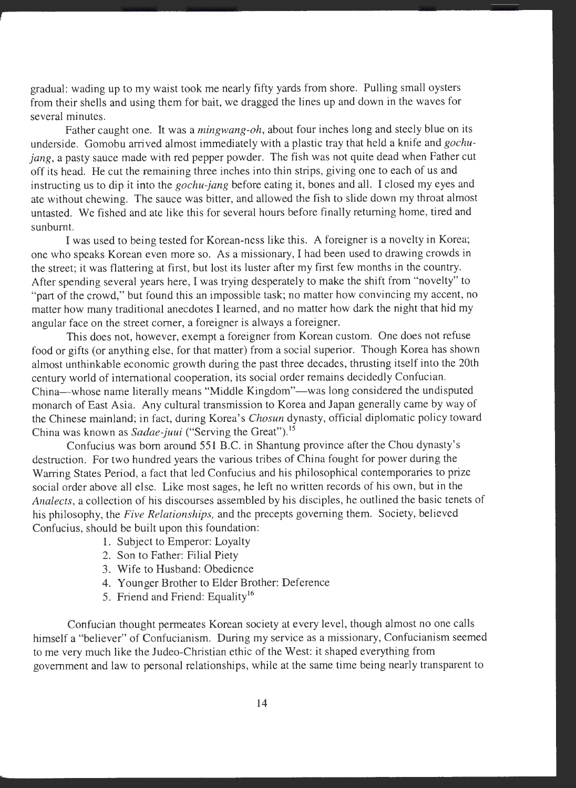gradual: wading up to my waist took me nearly fifty yards from shore. Pulling small oysters from their shells and using them for bait, we dragged the lines up and down in the waves for several minutes.

Father caught one. It was a *mingwang-oh,* about four inches long and steely blue on its underside. Gomobu arrived almost immediately with a plastic tray that held a knife and *gochujang*, a pasty sauce made with red pepper powder. The fish was not quite dead when Father cut off its head. He cut the remaining three inches into thin strips, giving one to each of us and instructing us to dip it into the *gochu-jang* before eating it, bones and all. I closed my eyes and ate without chewing. The sauce was bitter, and allowed the fish to slide down my throat almost untasted. We fished and ate like this for several hours before finally returning home, tired and sunburnt.

I was used to being tested for Korean-ness like this. A foreigner is a novelty in Korea; one who speaks Korean even more so. As a missionary, I had been used to drawing crowds in the street; it was flattering at first, but lost its luster after my first few months in the country. After spending several years here, I was trying desperately to make the shift from "novelty" to "part of the crowd," but found this an impossible task; no matter how convincing my accent, no matter how many traditional anecdotes I learned, and no matter how dark the night that hid my angular face on the street corner, a foreigner is always a foreigner.

This does not, however, exempt a foreigner from Korean custom. One does not refuse food or gifts (or anything else, for that matter) from a social superior. Though Korea has shown almost unthinkable economic growth during the past three decades, thrusting itself into the 20th century world of international cooperation, its social order remains decidedly Confucian. China—whose name literally means "Middle Kingdom"—was long considered the undisputed monarch of East Asia. Any cultural transmission to Korea and Japan generally came by way of the Chinese mainland; in fact, during Korea's *Chosun* dynasty, official diplomatic policy toward China was known as *Sadae-juui* ("Serving the Great"). <sup>15</sup>

Confucius was born around 551 B.C. in Shantung province after the Chou dynasty's destruction. For two hundred years the various tribes of China fought for power during the Warring States Period, a fact that led Confucius and his philosophical contemporaries to prize social order above all else. Like most sages, he left no written records of his own, but in the *Analects,* a collection of his discourses assembled by his disciples, he outlined the basic tenets of his philosophy, the *Five Relationships,* and the precepts governing them. Society, believed Confucius, should be built upon this foundation:

- 1. Subject to Emperor: Loyalty
- 2. Son to Father: Filial Piety
- 3. Wife to Husband: Obedience
- 4. Younger Brother to Elder Brother: Deference
- 5. Friend and Friend: Equality<sup>16</sup>

Confucian thought permeates Korean society at every level, though almost no one calls himself a "believer" of Confucianism. During my service as a missionary, Confucianism seemed to me very much like the Judeo-Christian ethic of the West: it shaped everything from government and law to personal relationships, while at the same time being nearly transparent to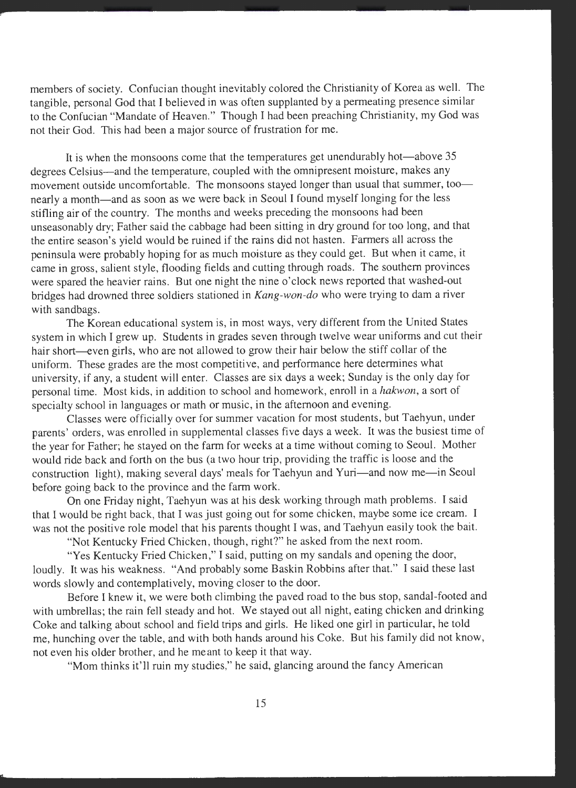members of society. Confucian thought inevitably colored the Christianity of Korea as well. The tangible, personal God that I believed in was often supplanted by a permeating presence similar to the Confucian "Mandate of Heaven." Though I had been preaching Christianity, my God was not their God. This had been a major source of frustration for me.

It is when the monsoons come that the temperatures get unendurably hot—above 35 degrees Celsius-and the temperature, coupled with the omnipresent moisture, makes any movement outside uncomfortable. The monsoons stayed longer than usual that summer, toonearly a month-and as soon as we were back in Seoul I found myself longing for the less stifling air of the country. The months and weeks preceding the monsoons had been unseasonably dry; Father said the cabbage had been sitting in dry ground for too long, and that the entire season's yield would be ruined if the rains did not hasten. Farmers all across the peninsula were probably hoping for as much moisture as they could get. But when it came, it came in gross, salient style, flooding fields and cutting through roads. The southern provinces were spared the heavier rains. But one night the nine o'clock news reported that washed-out bridges had drowned three soldiers stationed in *Kang-won-do* who were trying to dam a river with sandbags.

The Korean educational system is, in most ways, very different from the United States system in which I grew up. Students in grades seven through twelve wear uniforms and cut their hair short—even girls, who are not allowed to grow their hair below the stiff collar of the uniform. These grades are the most competitive, and performance here determines what university, if any, a student will enter. Classes are six days a week; Sunday is the only day for personal time. Most kids, in addition to school and homework, enroll in a *hakwon,* a sort of specialty school in languages or math or music, in the afternoon and evening.

Classes were officially over for summer vacation for most students, but Taehyun, under parents' orders, was enrolled in supplemental classes five days a week. It was the busiest time of the year for Father; he stayed on the farm for weeks at a time without coming to Seoul. Mother would ride back and forth on the bus (a two hour trip, providing the traffic is loose and the construction light), making several days' meals for Taehyun and Yuri-and now me-in Seoul before going back to the province and the farm work.

On one Friday night, Taehyun was at his desk working through math problems. I said that I would be right back, that I was just going out for some chicken, maybe some ice cream. I was not the positive role model that his parents thought I was, and Taehyun easily took the bait.

"Not Kentucky Fried Chicken, though, right?" he asked from the next room.

"Yes Kentucky Fried Chicken," I said, putting on my sandals and opening the door, loudly. It was his weakness. "And probably some Baskin Robbins after that." I said these last words slowly and contemplatively, moving closer to the door.

Before I knew it, we were both climbing the paved road to the bus stop, sandal-footed and with umbrellas; the rain fell steady and hot. We stayed out all night, eating chicken and drinking Coke and talking about school and field trips and girls. He liked one girl in particular, he told me, hunching over the table, and with both hands around his Coke. But his family did not know, not even his older brother, and he meant to keep it that way.

"Mom thinks it'll ruin my studies," he said, glancing around the fancy American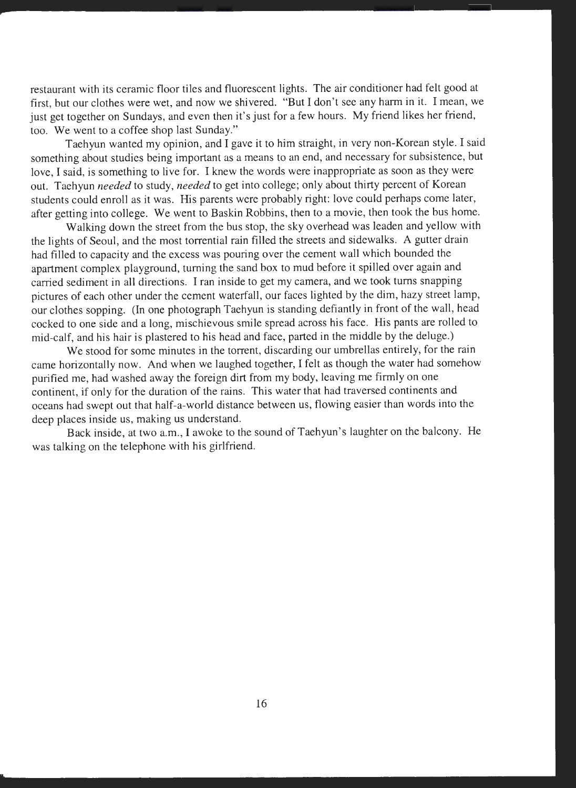restaurant with its ceramic floor tiles and fluorescent lights. The air conditioner had felt good at first, but our clothes were wet, and now we shivered. "But I don't see any harm in it. I mean, we just get together on Sundays, and even then it's just for a few hours. My friend likes her friend, too. We went to a coffee shop last Sunday."

Taehyun wanted my opinion, and I gave it to him straight, in very non-Korean style. I said something about studies being important as a means to an end, and necessary for subsistence, but love, I said, is something to live for. I knew the words were inappropriate as soon as they were out. Taehyun *needed* to study, *needed* to get into college; only about thirty percent of Korean students could enroll as it was. His parents were probably right: love could perhaps come later, after getting into college. We went to Baskin Robbins, then to a movie, then took the bus home.

Walking down the street from the bus stop, the sky overhead was leaden and yellow with the lights of Seoul, and the most torrential rain filled the streets and sidewalks. A gutter drain had filled to capacity and the excess was pouring over the cement wall which bounded the apartment complex playground, turning the sand box to mud before it spilled over again and carried sediment in all directions. I ran inside to get my camera, and we took turns snapping <sup>p</sup>ictures of each other under the cement waterfall, our faces lighted by the dim, hazy street lamp, our clothes sopping. (In one photograph Taehyun is standing defiantly in front of the wall, head cocked to one side and a long, mischievous smile spread across his face. His pants are rolled to mid-calf, and his hair is plastered to his head and face, parted in the middle by the deluge.)

We stood for some minutes in the torrent, discarding our umbrellas entirely, for the rain came horizontally now. And when we laughed together, I felt as though the water had somehow purified me, had washed away the foreign dirt from my body, leaving me firmly on one continent, if only for the duration of the rains. This water that had traversed continents and oceans had swept out that half-a-world distance between us, flowing easier than words into the deep places inside us, making us understand.

Back inside, at two a.m., I awoke to the sound of Taehyun's laughter on the balcony. He was talking on the telephone with his girlfriend.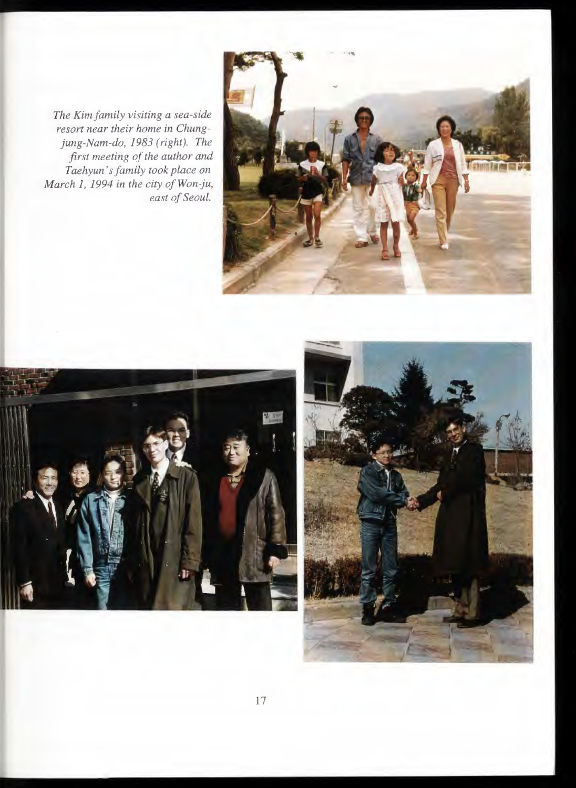*The Kim family visiting a sea-side resort near their home in Chungjung-Nam-do, 1983 (right). The first meeting of the author and Taehyun 's family took place on March 1, 1994 in the city of Won-ju, east of Seoul.* 





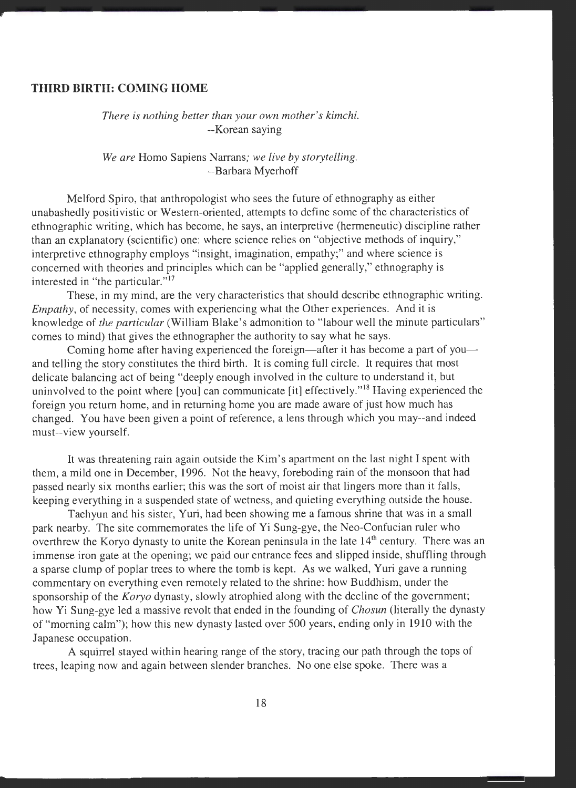#### **THIRD BIRTH: COMING HOME**

#### *There is nothing better than your own mother's kimchi.*  --Korean saying

*We are* Homo Sapiens Narrans; *we live by storytelling.*  --Barbara Myerhoff

Melford Spiro, that anthropologist who sees the future of ethnography as either unabashedly positivistic or Western-oriented, attempts to define some of the characteristics of ethnographic writing, which has become, he says, an interpretive (hermeneutic) discipline rather than an explanatory (scientific) one: where science relies on "objective methods of inquiry," interpretive ethnography employs "insight, imagination, empathy;" and where science is concerned with theories and principles which can be "applied generally," ethnography is interested in "the particular."<sup>17</sup>

These, in my mind, are the very characteristics that should describe ethnographic writing. *Empathy*, of necessity, comes with experiencing what the Other experiences. And it is knowledge of *the particular* (William Blake's admonition to "labour well the minute particulars" comes to mind) that gives the ethnographer the authority to say what he says.

Coming home after having experienced the foreign—after it has become a part of youand telling the story constitutes the third birth. It is coming full circle. It requires that most delicate balancing act of being "deeply enough involved in the culture to understand it, but uninvolved to the point where [you] can communicate [it] effectively."<sup>18</sup> Having experienced the foreign you return home, and in returning home you are made aware of just how much has changed. You have been given a point of reference, a lens through which you may--and indeed must--view yourself.

It was threatening rain again outside the Kim's apartment on the last night I spent with them, a mild one in December, 1996. Not the heavy, foreboding rain of the monsoon that had passed nearly six months earlier; this was the sort of moist air that lingers more than it falls, keeping everything in a suspended state of wetness, and quieting everything outside the house.

Taehyun and his sister, Yuri, had been showing me a famous shrine that was in a small park nearby. The site commemorates the life of Yi Sung-gye, the Neo-Confucian ruler who overthrew the Koryo dynasty to unite the Korean peninsula in the late 14<sup>th</sup> century. There was an immense iron gate at the opening; we paid our entrance fees and slipped inside, shuffling through a sparse clump of poplar trees to where the tomb is kept. As we walked, Yuri gave a running commentary on everything even remotely related to the shrine: how Buddhism, under the sponsorship of the *Koryo* dynasty, slowly atrophied along with the decline of the government; how Yi Sung-gye led a massive revolt that ended in the founding of *Chosun* (literally the dynasty of "morning calm"); how this new dynasty lasted over 500 years, ending only in 1910 with the Japanese occupation.

A squirrel stayed within hearing range of the story, tracing our path through the tops of trees, leaping now and again between slender branches. No one else spoke. There was a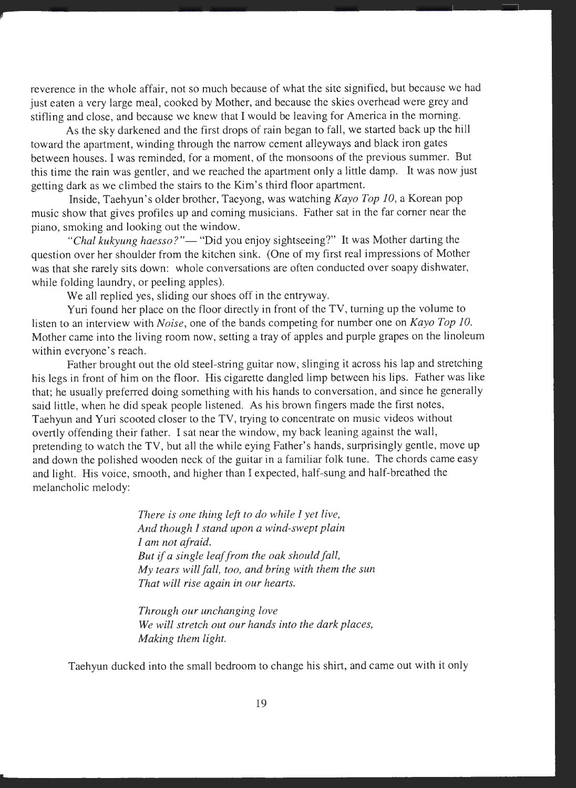reverence in the whole affair, not so much because of what the site signified, but because we had just eaten a very large meal, cooked by Mother, and because the skies overhead were grey and stifling and close, and because we knew that I would be leaving for America in the morning.

As the sky darkened and the first drops of rain began to fall, we started back up the hill toward the apartment, winding through the narrow cement alleyways and black iron gates between houses. I was reminded, for a moment, of the monsoons of the previous summer. But this time the rain was gentler, and we reached the apartment only a little damp. It was now just getting dark as we climbed the stairs to the Kim's third floor apartment.

Inside, Taehyun's older brother, Taeyong, was watching *Kayo Top 10,* a Korean pop music show that gives profiles up and coming musicians. Father sat in the far corner near the piano, smoking and looking out the window.

"Chal kukyung haesso?"— "Did you enjoy sightseeing?" It was Mother darting the question over her shoulder from the kitchen sink. (One of my first real impressions of Mother was that she rarely sits down: whole conversations are often conducted over soapy dishwater, while folding laundry, or peeling apples).

We all replied yes, sliding our shoes off in the entryway.

Yuri found her place on the floor directly in front of the TV, turning up the volume to listen to an interview with *Noise,* one of the bands competing for number one on *Kayo Top JO.*  Mother came into the living room now, setting a tray of apples and purple grapes on the linoleum within everyone's reach.

Father brought out the old steel-string guitar now, slinging it across his lap and stretching his legs in front of him on the floor. His cigarette dangled limp between his lips. Father was like that; he usually preferred doing something with his hands to conversation, and since he generally said little, when he did speak people listened. As his brown fingers made the first notes, Taehyun and Yuri scooted closer to the TV, trying to concentrate on music videos without overtly offending their father. I sat near the window, my back leaning against the wall, pretending to watch the TV, but all the while eying Father's hands, surprisingly gentle, move up and down the polished wooden neck of the guitar in a familiar folk tune. The chords came easy and light. His voice, smooth, and higher than I expected, half-sung and half-breathed the melancholic melody:

> *There is one thing left to do while I yet live, And though I stand upon a wind-swept plain I am not afraid. But if a single leaf from the oak should fall, My tears will fall, too, and bring with them the sun That will rise again in our hearts.*

> *Through our unchanging love We will stretch out our hands into the dark places, Making them light.*

Taehyun ducked into the small bedroom to change his shirt, and came out with it only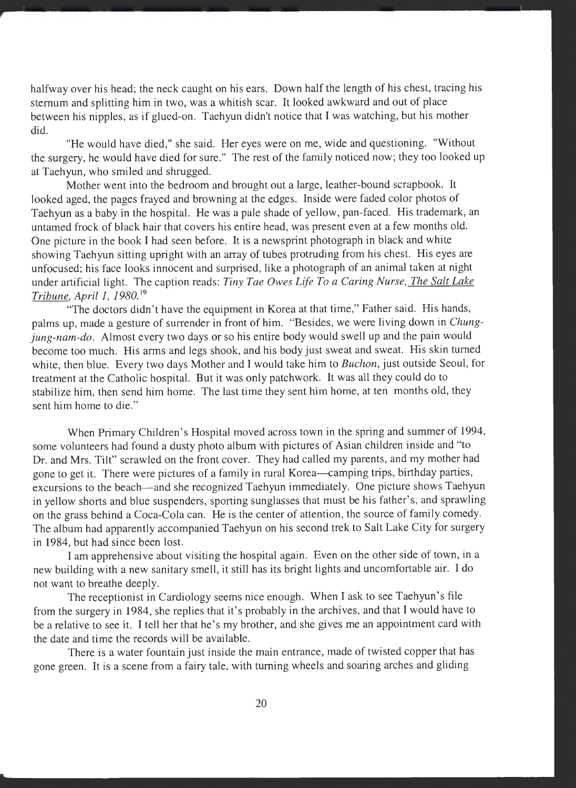halfway over his head; the neck caught on his ears. Down half the length of his chest, tracing his sternum and splitting him in two, was a whitish scar. It looked awkward and out of place between his nipples, as if glued-on. Taehyun didn't notice that I was watching, but his mother did.

"He would have died," she said. Her eyes were on me, wide and questioning. "Without the surgery, he would have died for sure." The rest of the family noticed now; they too looked up at Taehyun, who smiled and shrugged.

Mother went into the bedroom and brought out a large, leather-bound scrapbook. It looked aged, the pages frayed and browning at the edges. Inside were faded color photos of Taehyun as a baby in the hospital. He was a pale shade of yellow, pan-faced. His trademark, an untamed frock of black hair that covers his entire head, was present even at a few months old. One picture in the book I had seen before. It is a newsprint photograph in black and white showing Taehyun sitting upright with an array of tubes protruding from his chest. His eyes are unfocused; his face looks innocent and surprised, like a photograph of an animal taken at night under artificial light. The caption reads: *Tiny Tae Owes Life To a Caring Nurse, The Salt Lake Tribune, April I, 1980.* <sup>19</sup>

"The doctors didn't have the equipment in Korea at that time," Father said. His hands, palms up, made a gesture of surrender in front of him. "Besides, we were living down in *Chungjung-nam-do.* Almost every two days or so his entire body would swell up and the pain would become too much. His arms and legs shook, and his body just sweat and sweat. His skin turned white, then blue. Every two days Mother and I would take him to *Buchon*, just outside Seoul, for treatment at the Catholic hospital. But it was only patchwork. It was all they could do to stabilize him, then send him home. The last time they sent him home, at ten months old, they sent him home to die."

When Primary Children's Hospital moved across town in the spring and summer of 1994, some volunteers had found a dusty photo album with pictures of Asian children inside and "to Dr. and Mrs. Tilt" scrawled on the front cover. They had called my parents, and my mother had gone to get it. There were pictures of a family in rural Korea—camping trips, birthday parties, excursions to the beach-and she recognized Taehyun immediately. One picture shows Taehyun in yellow shorts and blue suspenders, sporting sunglasses that must be his father's, and sprawling on the grass behind a Coca-Cola can. He is the center of attention, the source of family comedy. The album had apparently accompanied Taehyun on his second trek to Salt Lake City for surgery in 1984, but had since been lost.

I am apprehensive about visiting the hospital again. Even on the other side of town, in a new building with a new sanitary smell, it still has its bright lights and uncomfortable air. I do not want to breathe deeply.

The receptionist in Cardiology seems nice enough. When I ask to see Taehyun's file from the surgery in 1984, she replies that it's probably in the archives, and that I would have to be a relative to see it. I tell her that he's my brother, and she gives me an appointment card with the date and time the records will be available.

There is a water fountain just inside the main entrance, made of twisted copper that has gone green. It is a scene from a fairy tale, with turning wheels and soaring arches and gliding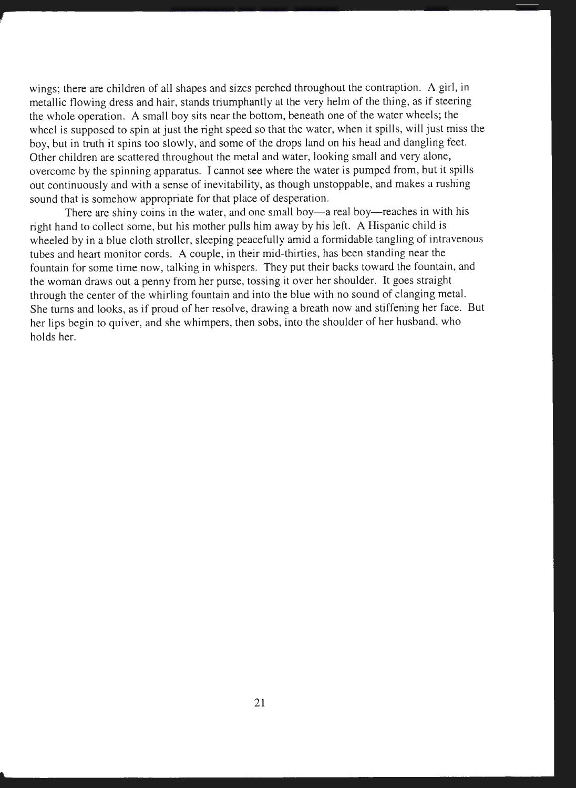wings; there are children of all shapes and sizes perched throughout the contraption. A girl, in metallic flowing dress and hair, stands triumphantly at the very helm of the thing, as if steering the whole operation. A small boy sits near the bottom, beneath one of the water wheels; the wheel is supposed to spin at just the right speed so that the water, when it spills, will just miss the boy, but in truth it spins too slowly, and some of the drops land on his head and dangling feet. Other children are scattered throughout the metal and water, looking small and very alone, overcome by the spinning apparatus. I cannot see where the water is pumped from, but it spills out continuously and with a sense of inevitability, as though unstoppable, and makes a rushing sound that is somehow appropriate for that place of desperation.

There are shiny coins in the water, and one small boy—a real boy—reaches in with his right hand to collect some, but his mother pulls him away by his left. A Hispanic child is wheeled by in a blue cloth stroller, sleeping peacefully amid a formidable tangling of intravenous tubes and heart monitor cords. A couple, in their mid-thirties, has been standing near the fountain for some time now, talking in whispers. They put their backs toward the fountain, and the woman draws out a penny from her purse, tossing it over her shoulder. It goes straight through the center of the whirling fountain and into the blue with no sound of clanging metal. She turns and looks, as if proud of her resolve, drawing a breath now and stiffening her face. But her lips begin to quiver, and she whimpers, then sobs, into the shoulder of her husband, who holds her.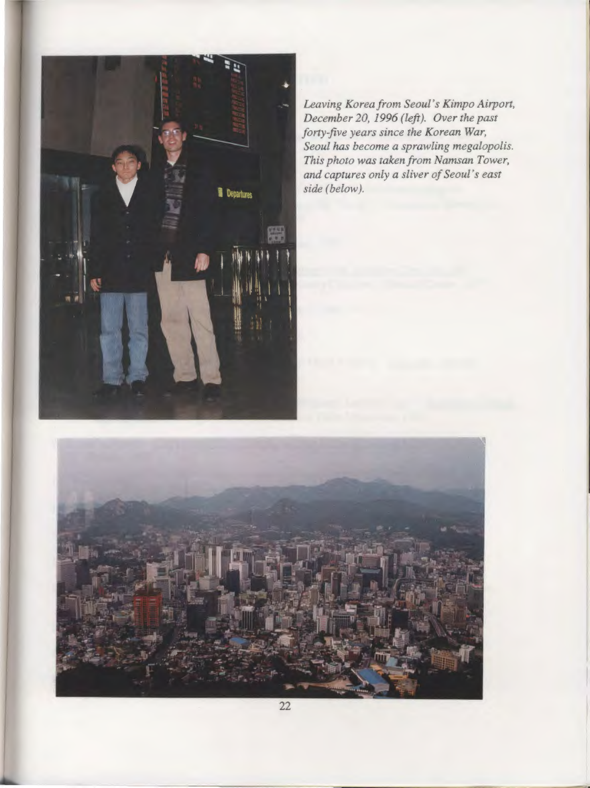

*Leaving Korea from Seoul's Kimpo Airport, December 20, 1996 (left). Over the past forty-five years since the Korean War, Seoul has become a sprawling megalopolis. This photo was taken from Namsan Tower, and captures only a sliver of Seoul's east side (below).* 

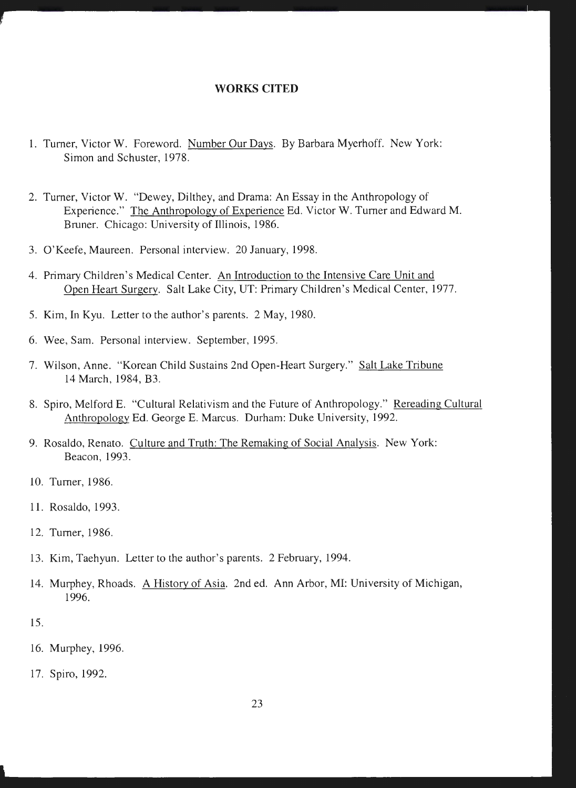#### **WORKS CITED**

- 1. Turner, Victor **W.** Foreword. Number Our Days. By Barbara Myerhoff. New York: Simon and Schuster, 1978.
- 2. Turner, Victor **W.** "Dewey, Dilthey, and Drama: An Essay in the Anthropology of Experience." The Anthropology of Experience Ed. Victor W. Turner and Edward **M.**  Bruner. Chicago: University of Illinois, 1986.
- 3. O'Keefe, Maureen. Personal interview. 20 January, 1998.
- 4. Primary Children's Medical Center. An Introduction to the Intensive Care Unit and Open Heart Surgery. Salt Lake City, UT: Primary Children's Medical Center, 1977.
- 5. Kim, In Kyu. Letter to the author's parents. 2 May, 1980.
- 6. Wee, Sam. Personal interview. September, 1995.
- 7. Wilson, Anne. "Korean Child Sustains 2nd Open-Heart Surgery." Salt Lake Tribune 14 March, 1984, B3.
- 8. Spiro, Melford E. "Cultural Relativism and the Future of Anthropology." Rereading Cultural Anthropology Ed. George E. Marcus. Durham: Duke University, 1992.
- 9. Rosaldo, Renato. Culture and Truth: The Remaking of Social Analysis. New York: Beacon, 1993.
- 10. Turner, 1986.
- 11. Rosaldo, 1993.
- 12. Turner, 1986.
- 13. Kim, Taehyun. Letter to the author's parents. 2 February, 1994.
- 14. Murphey, Rhoads. A History of Asia. 2nd ed. Ann Arbor, **MI:** University of Michigan, 1996.
- 15.
- 16. Murphey, 1996.
- 17. Spiro, 1992.